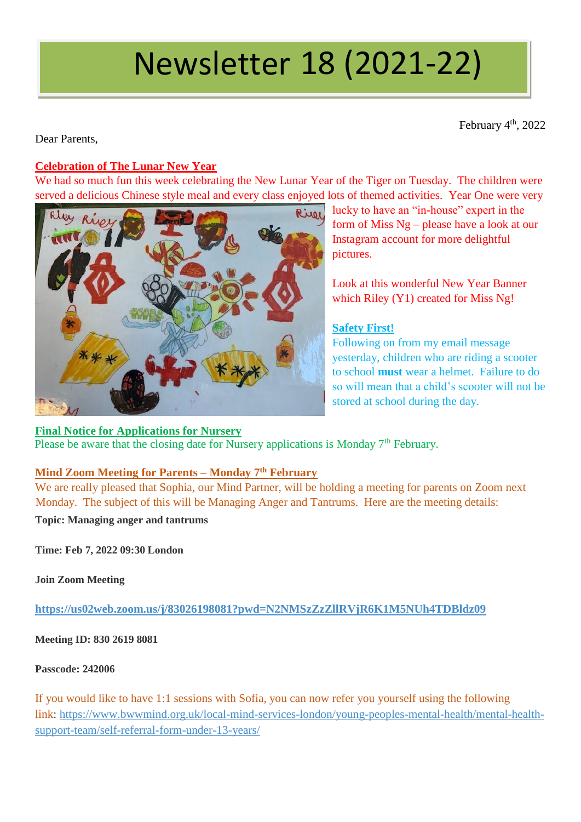# Newsletter 18 (2021-22)

February 4<sup>th</sup>, 2022

Dear Parents,

# **Celebration of The Lunar New Year**

We had so much fun this week celebrating the New Lunar Year of the Tiger on Tuesday. The children were served a delicious Chinese style meal and every class enjoyed lots of themed activities. Year One were very



**Final Notice for Applications for Nursery** 

lucky to have an "in-house" expert in the form of Miss Ng – please have a look at our Instagram account for more delightful pictures.

Look at this wonderful New Year Banner which Riley (Y1) created for Miss Ng!

# **Safety First!**

Following on from my email message yesterday, children who are riding a scooter to school **must** wear a helmet. Failure to do so will mean that a child's scooter will not be stored at school during the day.

Please be aware that the closing date for Nursery applications is Monday 7<sup>th</sup> February.

# **Mind Zoom Meeting for Parents – Monday 7th February**

We are really pleased that Sophia, our Mind Partner, will be holding a meeting for parents on Zoom next Monday. The subject of this will be Managing Anger and Tantrums. Here are the meeting details:

**Topic: Managing anger and tantrums**

**Time: Feb 7, 2022 09:30 London**

**Join Zoom Meeting**

**<https://us02web.zoom.us/j/83026198081?pwd=N2NMSzZzZllRVjR6K1M5NUh4TDBldz09>**

**Meeting ID: 830 2619 8081**

**Passcode: 242006**

If you would like to have 1:1 sessions with Sofia, you can now refer you yourself using the following link: [https://www.bwwmind.org.uk/local-mind-services-london/young-peoples-mental-health/mental-health](https://www.bwwmind.org.uk/local-mind-services-london/young-peoples-mental-health/mental-health-support-team/self-referral-form-under-13-years/)[support-team/self-referral-form-under-13-years/](https://www.bwwmind.org.uk/local-mind-services-london/young-peoples-mental-health/mental-health-support-team/self-referral-form-under-13-years/)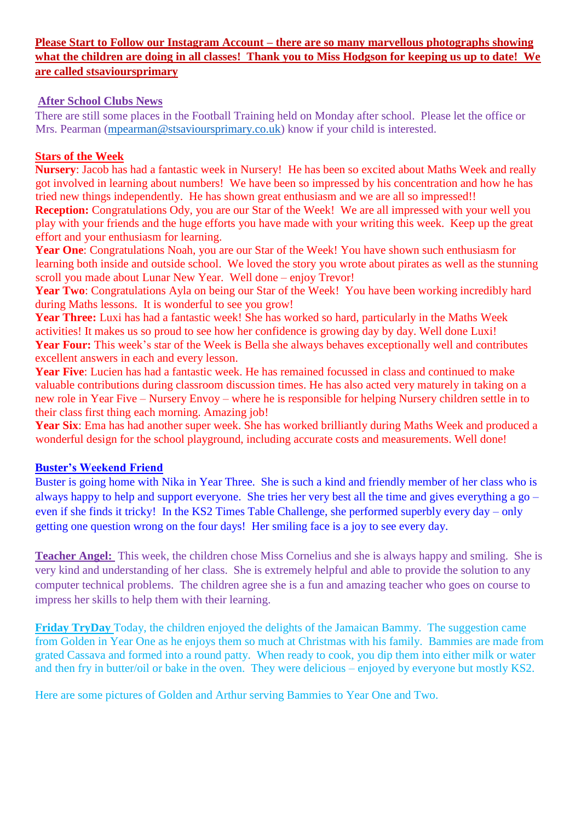# **Please Start to Follow our Instagram Account – there are so many marvellous photographs showing what the children are doing in all classes! Thank you to Miss Hodgson for keeping us up to date! We are called stsavioursprimary**

## **After School Clubs News**

There are still some places in the Football Training held on Monday after school. Please let the office or Mrs. Pearman [\(mpearman@stsavioursprimary.co.uk\)](mailto:mpearman@stsavioursprimary.co.uk) know if your child is interested.

# **Stars of the Week**

**Nursery**: Jacob has had a fantastic week in Nursery! He has been so excited about Maths Week and really got involved in learning about numbers! We have been so impressed by his concentration and how he has tried new things independently. He has shown great enthusiasm and we are all so impressed!!

**Reception:** Congratulations Ody, you are our Star of the Week! We are all impressed with your well you play with your friends and the huge efforts you have made with your writing this week. Keep up the great effort and your enthusiasm for learning.

Year One: Congratulations Noah, you are our Star of the Week! You have shown such enthusiasm for learning both inside and outside school. We loved the story you wrote about pirates as well as the stunning scroll you made about Lunar New Year. Well done – enjoy Trevor!

Year Two: Congratulations Ayla on being our Star of the Week! You have been working incredibly hard during Maths lessons. It is wonderful to see you grow!

**Year Three:** Luxi has had a fantastic week! She has worked so hard, particularly in the Maths Week activities! It makes us so proud to see how her confidence is growing day by day. Well done Luxi! **Year Four:** This week's star of the Week is Bella she always behaves exceptionally well and contributes excellent answers in each and every lesson.

**Year Five**: Lucien has had a fantastic week. He has remained focussed in class and continued to make valuable contributions during classroom discussion times. He has also acted very maturely in taking on a new role in Year Five – Nursery Envoy – where he is responsible for helping Nursery children settle in to their class first thing each morning. Amazing job!

**Year Six**: Ema has had another super week. She has worked brilliantly during Maths Week and produced a wonderful design for the school playground, including accurate costs and measurements. Well done!

# **Buster's Weekend Friend**

Buster is going home with Nika in Year Three. She is such a kind and friendly member of her class who is always happy to help and support everyone. She tries her very best all the time and gives everything a go – even if she finds it tricky! In the KS2 Times Table Challenge, she performed superbly every day – only getting one question wrong on the four days! Her smiling face is a joy to see every day.

**Teacher Angel:** This week, the children chose Miss Cornelius and she is always happy and smiling. She is very kind and understanding of her class. She is extremely helpful and able to provide the solution to any computer technical problems. The children agree she is a fun and amazing teacher who goes on course to impress her skills to help them with their learning.

**Friday TryDay** Today, the children enjoyed the delights of the Jamaican Bammy. The suggestion came from Golden in Year One as he enjoys them so much at Christmas with his family. Bammies are made from grated Cassava and formed into a round patty. When ready to cook, you dip them into either milk or water and then fry in butter/oil or bake in the oven. They were delicious – enjoyed by everyone but mostly KS2.

Here are some pictures of Golden and Arthur serving Bammies to Year One and Two.